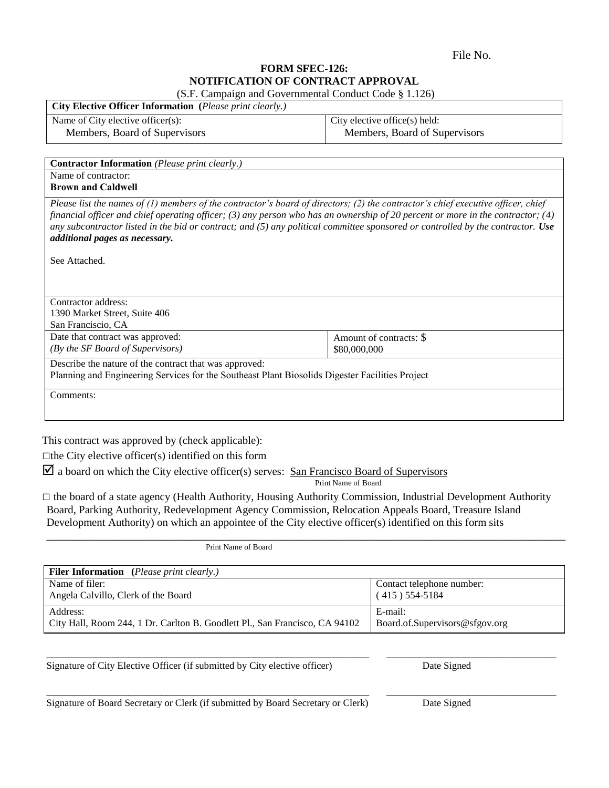File No.

## **FORM SFEC-126: NOTIFICATION OF CONTRACT APPROVAL**

| (S.F. Campaign and Governmental Conduct Code § 1.126)                                                                                                                                                                                                                                                                                                                                                                                                                  |                               |  |
|------------------------------------------------------------------------------------------------------------------------------------------------------------------------------------------------------------------------------------------------------------------------------------------------------------------------------------------------------------------------------------------------------------------------------------------------------------------------|-------------------------------|--|
| City Elective Officer Information (Please print clearly.)                                                                                                                                                                                                                                                                                                                                                                                                              |                               |  |
| Name of City elective officer(s):                                                                                                                                                                                                                                                                                                                                                                                                                                      | City elective office(s) held: |  |
| Members, Board of Supervisors                                                                                                                                                                                                                                                                                                                                                                                                                                          | Members, Board of Supervisors |  |
|                                                                                                                                                                                                                                                                                                                                                                                                                                                                        |                               |  |
| <b>Contractor Information</b> (Please print clearly.)                                                                                                                                                                                                                                                                                                                                                                                                                  |                               |  |
| Name of contractor:                                                                                                                                                                                                                                                                                                                                                                                                                                                    |                               |  |
| <b>Brown and Caldwell</b>                                                                                                                                                                                                                                                                                                                                                                                                                                              |                               |  |
| Please list the names of $(1)$ members of the contractor's board of directors; $(2)$ the contractor's chief executive officer, chief<br>financial officer and chief operating officer; (3) any person who has an ownership of 20 percent or more in the contractor; (4)<br>any subcontractor listed in the bid or contract; and $(5)$ any political committee sponsored or controlled by the contractor. Use<br><i>additional pages as necessary.</i><br>See Attached. |                               |  |
| Contractor address:                                                                                                                                                                                                                                                                                                                                                                                                                                                    |                               |  |
| 1390 Market Street, Suite 406                                                                                                                                                                                                                                                                                                                                                                                                                                          |                               |  |
| San Franciscio, CA                                                                                                                                                                                                                                                                                                                                                                                                                                                     |                               |  |
| Date that contract was approved:                                                                                                                                                                                                                                                                                                                                                                                                                                       | Amount of contracts: \$       |  |
| (By the SF Board of Supervisors)                                                                                                                                                                                                                                                                                                                                                                                                                                       | \$80,000,000                  |  |
| Describe the nature of the contract that was approved:                                                                                                                                                                                                                                                                                                                                                                                                                 |                               |  |
| Planning and Engineering Services for the Southeast Plant Biosolids Digester Facilities Project                                                                                                                                                                                                                                                                                                                                                                        |                               |  |
| Comments:                                                                                                                                                                                                                                                                                                                                                                                                                                                              |                               |  |

This contract was approved by (check applicable):

 $\Box$ the City elective officer(s) identified on this form

 $\boxtimes$  a board on which the City elective officer(s) serves: San Francisco Board of Supervisors

Print Name of Board

□ the board of a state agency (Health Authority, Housing Authority Commission, Industrial Development Authority Board, Parking Authority, Redevelopment Agency Commission, Relocation Appeals Board, Treasure Island Development Authority) on which an appointee of the City elective officer(s) identified on this form sits

| Print Name of Board                                                         |                                |  |
|-----------------------------------------------------------------------------|--------------------------------|--|
|                                                                             |                                |  |
| <b>Filer Information</b> ( <i>Please print clearly.</i> )                   |                                |  |
| Name of filer:                                                              | Contact telephone number:      |  |
| Angela Calvillo, Clerk of the Board                                         | $(415)$ 554-5184               |  |
| Address:                                                                    | E-mail:                        |  |
| City Hall, Room 244, 1 Dr. Carlton B. Goodlett Pl., San Francisco, CA 94102 | Board.of.Supervisors@sfgov.org |  |

\_\_\_\_\_\_\_\_\_\_\_\_\_\_\_\_\_\_\_\_\_\_\_\_\_\_\_\_\_\_\_\_\_\_\_\_\_\_\_\_\_\_\_\_\_\_\_\_\_\_\_\_\_\_\_\_\_\_\_ \_\_\_\_\_\_\_\_\_\_\_\_\_\_\_\_\_\_\_\_\_\_\_\_\_\_\_\_\_\_\_

\_\_\_\_\_\_\_\_\_\_\_\_\_\_\_\_\_\_\_\_\_\_\_\_\_\_\_\_\_\_\_\_\_\_\_\_\_\_\_\_\_\_\_\_\_\_\_\_\_\_\_\_\_\_\_\_\_\_\_ \_\_\_\_\_\_\_\_\_\_\_\_\_\_\_\_\_\_\_\_\_\_\_\_\_\_\_\_\_\_\_

Signature of City Elective Officer (if submitted by City elective officer) Date Signed

Signature of Board Secretary or Clerk (if submitted by Board Secretary or Clerk) Date Signed